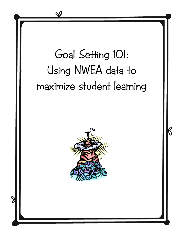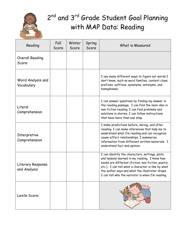

# 2<sup>nd</sup> and 3<sup>rd</sup> Grade Student Goal Planning with MAP Data: Reading

| Reading                           | Fall<br>Score | Winter<br>Score | Spring<br>Score | What is Measured                                                                                                                                                                                                                                                                                                    |
|-----------------------------------|---------------|-----------------|-----------------|---------------------------------------------------------------------------------------------------------------------------------------------------------------------------------------------------------------------------------------------------------------------------------------------------------------------|
| Overall Reading<br>Score:         |               |                 |                 |                                                                                                                                                                                                                                                                                                                     |
| Word Analysis and<br>Vocabulary   |               |                 |                 | I use many different ways to figure out words I<br>don't know, such as word families, context clues,<br>prefixes, suffixes, synonyms, antonyms, and<br>homophones.                                                                                                                                                  |
| Literal<br>Comprehension          |               |                 |                 | I can answer questions by finding my answer in<br>the reading passage. I can find the main idea in<br>non-fiction reading. I can find problems and<br>solutions in stories. I can follow instructions<br>that have more than one step.                                                                              |
| Interpretive<br>Comprehension     |               |                 |                 | I make predictions before, during, and after<br>reading. I can make inferences that help me to<br>understand what I'm reading and can recognize<br>cause-effect relationships. I summarize<br>information from different written materials. I<br>understand fact and opinion.                                       |
| Literary Response<br>and Analysis |               |                 |                 | I can identify the characters, settings, plots,<br>and lessons learned in my reading. I know how<br>books are different (fiction, non-fiction, poetry,<br>etc.). I can tell what a character is like by what<br>the author says and what the illustrator draws.<br>I can tell who the narrator is when I'm reading. |
| Lexile Score:                     |               |                 |                 |                                                                                                                                                                                                                                                                                                                     |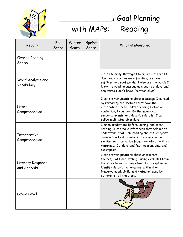

# \_\_\_\_\_\_\_\_\_\_\_\_\_\_\_\_\_\_\_\_'s Goal Planning with MAPs: Reading

| Reading                           | Fall<br>Score | Winter<br>Score | Spring<br>Score | What is Measured                                                                                                                                                                                                                                                                                                       |
|-----------------------------------|---------------|-----------------|-----------------|------------------------------------------------------------------------------------------------------------------------------------------------------------------------------------------------------------------------------------------------------------------------------------------------------------------------|
| Overall Reading<br>Score:         |               |                 |                 |                                                                                                                                                                                                                                                                                                                        |
| Word Analysis and<br>Vocabulary   |               |                 |                 | I can use many strategies to figure out words I<br>don't know, such as word families, prefixes,<br>suffixes, and root words. I also use the words I<br>know in a reading passage as clues to understand<br>the words I don't know. (context clues)                                                                     |
| Literal<br>Comprehension          |               |                 |                 | I can answer questions about a passage I've read<br>by rereading the sections that have the<br>information I need. After reading fiction or<br>nonfiction, I can identify the main idea,<br>sequence events, and describe details. I can<br>follow multi-step directions.                                              |
| Interpretive<br>Comprehension     |               |                 |                 | I make predictions before, during, and after<br>reading. I can make inferences that help me to<br>understand what I am reading and can recognize<br>cause-effect relationships. I summarize and<br>synthesize information from a variety of written<br>materials. I understand fact, opinion, bias, and<br>assumption. |
| Literary Response<br>and Analysis |               |                 |                 | I can answer questions about characters,<br>themes, plots, and settings, using examples from<br>the story to support my ideas. I can explain and<br>identify descriptive language, alliteration,<br>imagery, mood, simile, and metaphor used by<br>authors to tell the story.                                          |
| Lexile Level                      |               |                 |                 |                                                                                                                                                                                                                                                                                                                        |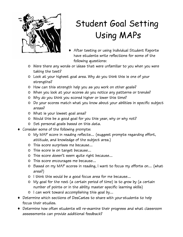

# Student Goal Setting Using MAPs

- After testing or using Individual Student Reports have students write reflections for some of the following questions:
- o Were there any words or ideas that were unfamiliar to you when you were taking the test?
- o Look at your highest goal area. Why do you think this is one of your strengths?
- o How can this strength help you as you work on other goals?
- o When you look at your scores do you notice any patterns or trends?
- o Why do you think you scored higher or lower this time?
- o Do your scores match what you know about your abilities in specific subject areas?
- o What is your lowest goal area?
- o Would this be a good goal for you this year, why or why not?
- o Set personal goals based on this data.
- ♦ Consider some of the following prompts:
	- o My MAP score in reading reflects… (suggest prompts regarding effort, attitude, and knowledge of the subject area.)
	- o This score surprises me because…
	- o This score is on target because…
	- o This score doesn't seem quite right because…
	- o This score encourages me because…
	- o Based on my MAP scores in reading, I want to focus my efforts on… (what area?)
	- o I think this would be a good focus area for me because…
	- o My goal for the next (a certain period of time) is to grow by (a certain number of points or in the ability master specific learning skills)
	- o I can work toward accomplishing this goal by…
- ♦ Determine which sections of DesCartes to share with your students to help focus their studies.
- ♦ Determine how often students will re-examine their progress and what classroom assessments can provide additional feedback?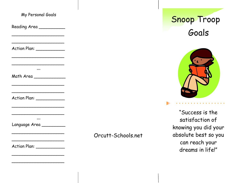| My Personal Goals                                                                                            |                    |
|--------------------------------------------------------------------------------------------------------------|--------------------|
| Reading Area __________                                                                                      |                    |
| Action Plan: ____________<br>the contract of the contract of the contract of the contract of the contract of |                    |
| $\ddotsc$<br>Math Area ______________                                                                        |                    |
| Action Plan: ____________                                                                                    |                    |
| $\ddotsc$<br>Language Area                                                                                   | Orcutt-Schools.net |
| Action Plan: ______________                                                                                  |                    |

\_\_\_\_\_\_\_\_\_\_\_\_\_\_\_\_\_\_\_\_

Snoop Troop Goals



"Success is the satisfaction of knowing you did your absolute best so you can reach your dreams in life!"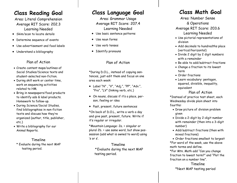## **Class Reading Goal**

Area: Literal Comprehension Average RIT Score: 202.3 Learning Needed

- Skim/scan to locate details
- Determine sequence of events
- Use advertisement and food labels
- Understand a bibliography

Plan of Action

- Create content maps/outlines of Social Studies/Science texts andstudent-selected non-fiction.
- During skill work or center time, work on sequencing activities related to HM.
- Bring in newspapers/food products to identify ads & label products. Homework to follow-up.
- During Science/Social Studies, find bibliographies in non-fiction texts and discuss how they're organized (author, title, publisher, etc.)
- Write a bibliography for our Animal Reports.

#### Timeline

\* Evaluate during the next MAP testing period.

## **Class Language Goal**

Area: Grammar Usage Average RIT Score: 207.4 Learning Needed

- Use basic sentence patterns
- Use noun forms
- Use verb tenses
- Identify pronouns

#### Plan of Action

\*During D.O.L., instead of copying sentences, just edit them and focus on one area each week:

- Label "N" , "V", "Adj.", "PP", "Adv.", "Pro", "LV" (linking verb, etc.)
- On nouns, discuss if it's a place, person, feeling or idea
- Past, present, future sentences

\*On back of D.O.L., write a verb a day and give past, present, future. Write if it's regular or irregular.

\*Mountain Language: 2a. = singular or plural 2b. = use same word, but show possession (add what is owned to word) using 's or s'.

Timeline \* Evaluate during the next MAP testing period.

## **Class Math Goal**

Area: Number Sense

& Operations

Average RIT Score: 203.6 Learning Needed

- Use pictorial representations of division
- Add decimals to hundredths place (vertical/horizontal)
- Divide 2 digit by 2 digit numbers with a remainder
- Be able to add/subtract fractions
- Change a fraction to its lowest term
- Order fractions
- Learn vocabulary: pentagon, squared, divisible, inequality, equivalent

#### Plan of Action

\*Instead of practice test sheet, each Wednesday divide plain sheet into fourths:

- Draw picture of division problem given
- Divide a 2-digit by 2-digit number with remainder (then into a 3-digit number)
- Add/subtract fractions (then with mixed fractions)

• Order fractions smallest to largest \*For word of the week, use the above math terms and define.

\*For Mtn. Math add "Can you change fraction to lowest term?" and "Plot the fraction on a number line".

#### Timeline \*Next MAP testing period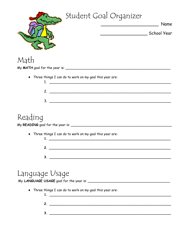| Student Goal Organizer                                    |
|-----------------------------------------------------------|
| Name                                                      |
| Math                                                      |
|                                                           |
| • Three things I can do to work on my goal this year are: |
| 2.                                                        |
| 3.                                                        |
| Reading                                                   |
| • Three things I can do to work on my goal this year are: |
| 2. $\overline{\phantom{a}}$                               |
|                                                           |
| Language Usage                                            |
| • Three things I can do to work on my goal this year are: |
| 2. $\overline{\phantom{a}}$                               |
| $3.$ $\overline{\phantom{a}}$                             |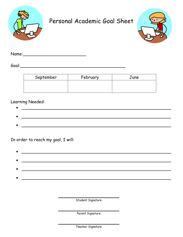

## Personal Academic Goal Sheet



| Name: |
|-------|
|-------|

| September | February | June |
|-----------|----------|------|
|           |          |      |
|           |          |      |

### Learning Needed:

<u> 1980 - Johann Barn, margaret eta biztanleria (h. 1980).</u>

In order to reach my goal, I will:

| $\bullet$ |  |
|-----------|--|
|           |  |
| $\bullet$ |  |
| $\bullet$ |  |
|           |  |
| $\bullet$ |  |

Student Signature

Parent Signature

Teacher Signature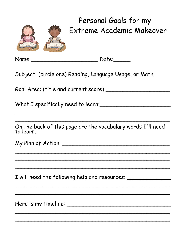

# Personal Goals for my Extreme Academic Makeover

Name:\_\_\_\_\_\_\_\_\_\_\_\_\_\_\_\_\_\_\_\_ Date:\_\_\_\_\_

Subject: (circle one) Reading, Language Usage, or Math

Goal Area: (title and current score) \_\_\_\_\_\_\_\_\_\_\_\_\_\_\_\_\_\_\_

What I specifically need to learn:

On the back of this page are the vocabulary words I'll need to learn.

 $\sim$  . The set of the set of the set of the set of the set of the set of the set of the set of the set of the set of the set

 $\sim$  . The set of the set of the set of the set of the set of the set of the set of the set of the set of the set of the set

 $\sim$  . The set of the set of the set of the set of the set of the set of the set of the set of the set of the set of the set

 $\sim$  . The set of the set of the set of the set of the set of the set of the set of the set of the set of the set of the set

 $\sim$  . The set of the set of the set of the set of the set of the set of the set of the set of the set of the set of the set of the set

 $\sim$  . The set of the set of the set of the set of the set of the set of the set of the set of the set of the set of the set

 $\sim$  . The set of the set of the set of the set of the set of the set of the set of the set of the set of the set of the set of the set

 $\sim$  . The set of the set of the set of the set of the set of the set of the set of the set of the set of the set of the set

 $\sim$  . The contract of the contract of the contract of the contract of the contract of the contract of the contract of the contract of the contract of the contract of the contract of the contract of the contract of the co

My Plan of Action: \_\_\_\_\_\_\_\_\_\_\_\_\_\_\_\_\_\_\_\_\_\_\_\_\_\_\_\_\_\_\_\_

I will need the following help and resources: \_\_\_\_\_\_\_\_\_\_\_\_\_\_\_\_\_\_\_\_\_\_\_\_\_\_\_\_\_\_\_\_\_\_

Here is my timeline: \_\_\_\_\_\_\_\_\_\_\_\_\_\_\_\_\_\_\_\_\_\_\_\_\_\_\_\_\_\_\_